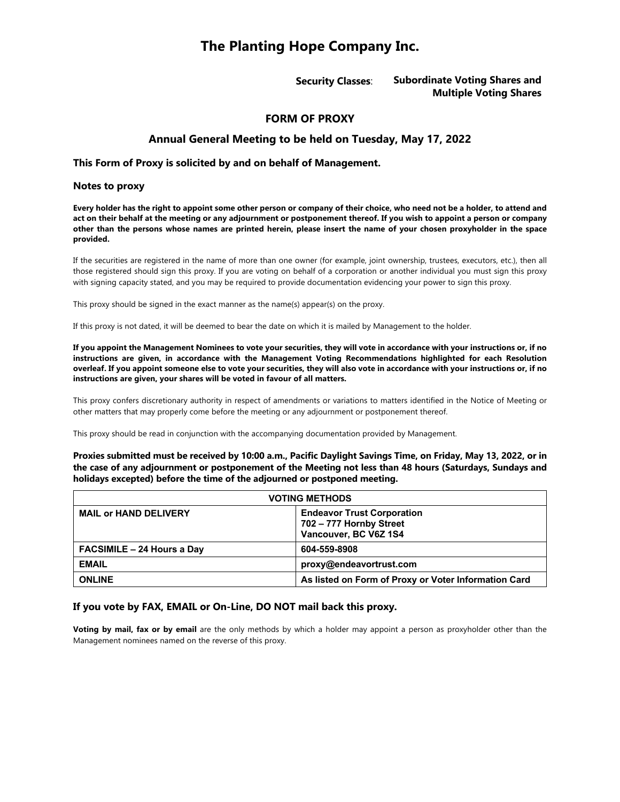# **The Planting Hope Company Inc.**

**Security Classes**: **Subordinate Voting Shares and Multiple Voting Shares**

## **FORM OF PROXY**

# **Annual General Meeting to be held on Tuesday, May 17, 2022**

#### **This Form of Proxy is solicited by and on behalf of Management.**

#### **Notes to proxy**

**Every holder has the right to appoint some other person or company of their choice, who need not be a holder, to attend and act on their behalf at the meeting or any adjournment or postponement thereof. If you wish to appoint a person or company other than the persons whose names are printed herein, please insert the name of your chosen proxyholder in the space provided.**

If the securities are registered in the name of more than one owner (for example, joint ownership, trustees, executors, etc.), then all those registered should sign this proxy. If you are voting on behalf of a corporation or another individual you must sign this proxy with signing capacity stated, and you may be required to provide documentation evidencing your power to sign this proxy.

This proxy should be signed in the exact manner as the name(s) appear(s) on the proxy.

If this proxy is not dated, it will be deemed to bear the date on which it is mailed by Management to the holder.

**If you appoint the Management Nominees to vote your securities, they will vote in accordance with your instructions or, if no instructions are given, in accordance with the Management Voting Recommendations highlighted for each Resolution overleaf. If you appoint someone else to vote your securities, they will also vote in accordance with your instructions or, if no instructions are given, your shares will be voted in favour of all matters.**

This proxy confers discretionary authority in respect of amendments or variations to matters identified in the Notice of Meeting or other matters that may properly come before the meeting or any adjournment or postponement thereof.

This proxy should be read in conjunction with the accompanying documentation provided by Management.

**Proxies submitted must be received by 10:00 a.m., Pacific Daylight Savings Time, on Friday, May 13, 2022, or in the case of any adjournment or postponement of the Meeting not less than 48 hours (Saturdays, Sundays and holidays excepted) before the time of the adjourned or postponed meeting.** 

| <b>VOTING METHODS</b>             |                                                                                       |  |
|-----------------------------------|---------------------------------------------------------------------------------------|--|
| <b>MAIL or HAND DELIVERY</b>      | <b>Endeavor Trust Corporation</b><br>702 - 777 Hornby Street<br>Vancouver, BC V6Z 1S4 |  |
| <b>FACSIMILE - 24 Hours a Day</b> | 604-559-8908                                                                          |  |
| <b>EMAIL</b>                      | proxy@endeavortrust.com                                                               |  |
| <b>ONLINE</b>                     | As listed on Form of Proxy or Voter Information Card                                  |  |

## **If you vote by FAX, EMAIL or On-Line, DO NOT mail back this proxy.**

**Voting by mail, fax or by email** are the only methods by which a holder may appoint a person as proxyholder other than the Management nominees named on the reverse of this proxy.